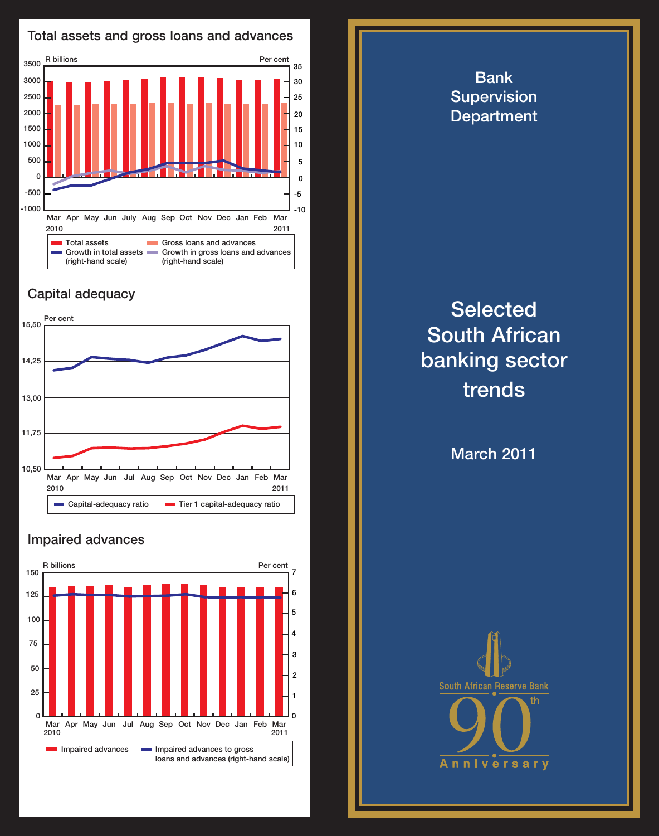

## Capital adequacy



## Impaired advances



**Selected** South African banking sector trends

Bank **Supervision Department** 

March 2011